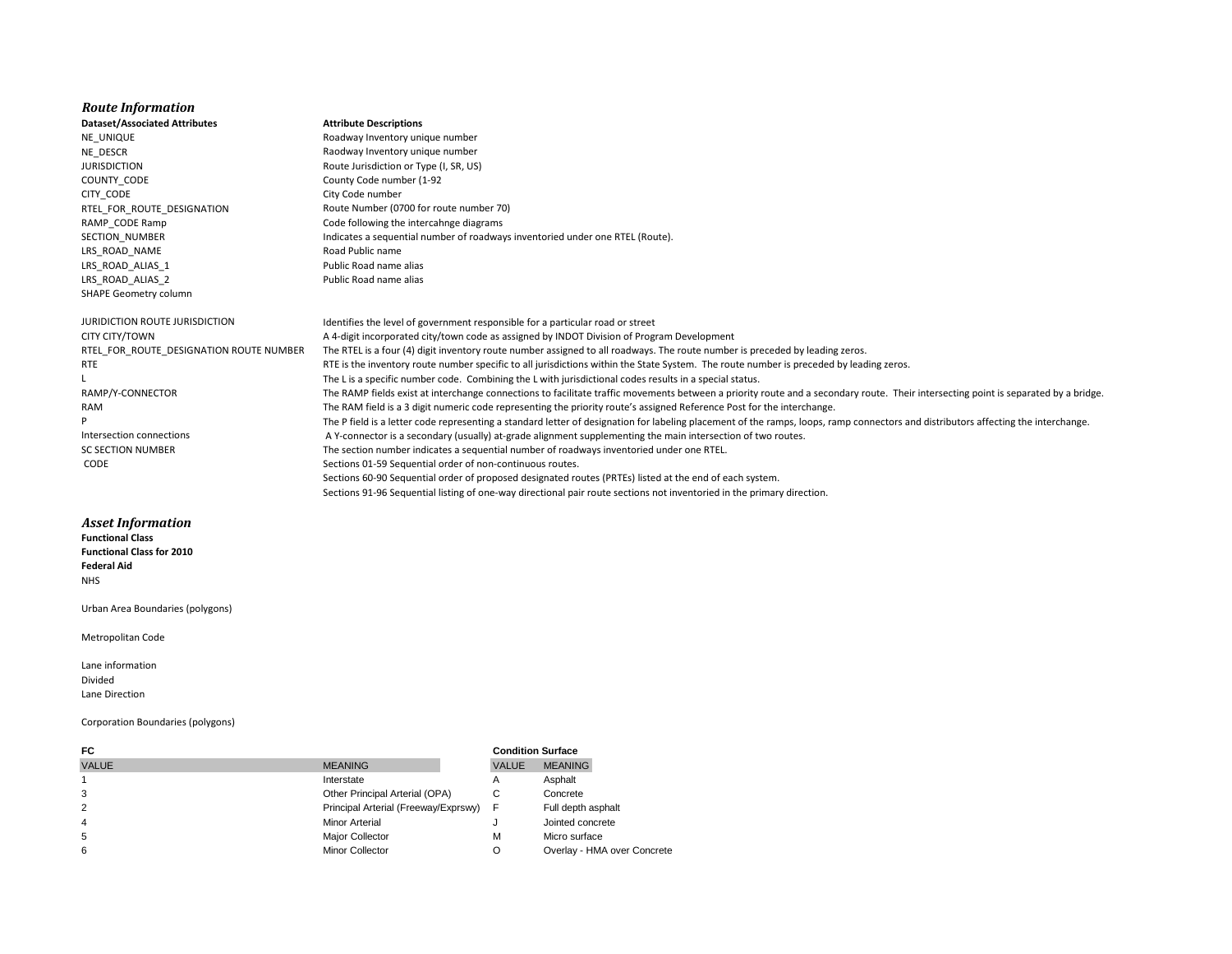## *Route Information*

NE\_UNIQUE Roadway Inventory unique number COUNTY CODE COUNTY CODE CITY\_CODE CITY\_CODE LRS\_ROAD\_NAME Road Public name LRS\_ROAD\_ALIAS\_1 extending the public Road name alias LRS\_ROAD\_ALIAS\_2 Public Road name alias SHAPE Geometry column

## **Dataset/Associated Attributes Attribute Descriptions**

- NE\_DESCR Raodway Inventory unique number JURISDICTION Route Jurisdiction or Type (I, SR, US) RTEL\_FOR\_ROUTE\_DESIGNATION Route Number (0700 for route number 70) RAMP\_CODE Ramp CODE Ramp Code following the intercahnge diagrams SECTION\_NUMBER Indicates a sequential number of roadways inventoried under one RTEL (Route).
- 

## *Asset Information*

**Functional Class Functional Class for 2010 Federal Aid** NHS

Urban Area Boundaries (polygons)

Metropolitan Code

Lane information Divided Lane Direction

## Corporation Boundaries (polygons)

| FC.            |                                      |              | <b>Condition Surface</b>    |  |  |
|----------------|--------------------------------------|--------------|-----------------------------|--|--|
| <b>VALUE</b>   | <b>MEANING</b>                       | <b>VALUE</b> | <b>MEANING</b>              |  |  |
|                | Interstate                           | А            | Asphalt                     |  |  |
| 3              | Other Principal Arterial (OPA)       | С            | Concrete                    |  |  |
| $\overline{2}$ | Principal Arterial (Freeway/Exprswy) | F            | Full depth asphalt          |  |  |
| $\overline{4}$ | <b>Minor Arterial</b>                |              | Jointed concrete            |  |  |
| 5              | Major Collector                      | М            | Micro surface               |  |  |
| 6              | <b>Minor Collector</b>               | O            | Overlay - HMA over Concrete |  |  |

JURIDICTION ROUTE JURISDICTION Identifies the level of government responsible for a particular road or street CITY CITY/TOWN A 4-digit incorporated city/town code as assigned by INDOT Division of Program Development RTEL FOR ROUTE DESIGNATION ROUTE NUMBER The RTEL is a four (4) digit inventory route number assigned to all roadways. The route number is preceded by leading zeros. RTE Externion oute number specific to all jurisdictions within the State System. The route number is preceded by leading zeros. L The L is a specific number code. Combining the L with jurisdictional codes results in a special status. RAMP/Y-CONNECTOR The RAMP fields exist at interchange connections to facilitate traffic movements between a priority route and a secondary route. Their intersecting point is separated by a bridge. RAM The RAM field is a 3 digit numeric code representing the priority route's assigned Reference Post for the interchange. P The P field is a letter code representing a standard letter of designation for labeling placement of the ramps, loops, ramp connectors and distributors affecting the interchange. Intersection connections **A** Y-connector is a secondary (usually) at-grade alignment supplementing the main intersection of two routes. SC SECTION NUMBER The section number indicates a sequential number of roadways inventoried under one RTEL. CODE Sections 01-59 Sequential order of non-continuous routes. Sections 60-90 Sequential order of proposed designated routes (PRTEs) listed at the end of each system.

Sections 91-96 Sequential listing of one-way directional pair route sections not inventoried in the primary direction.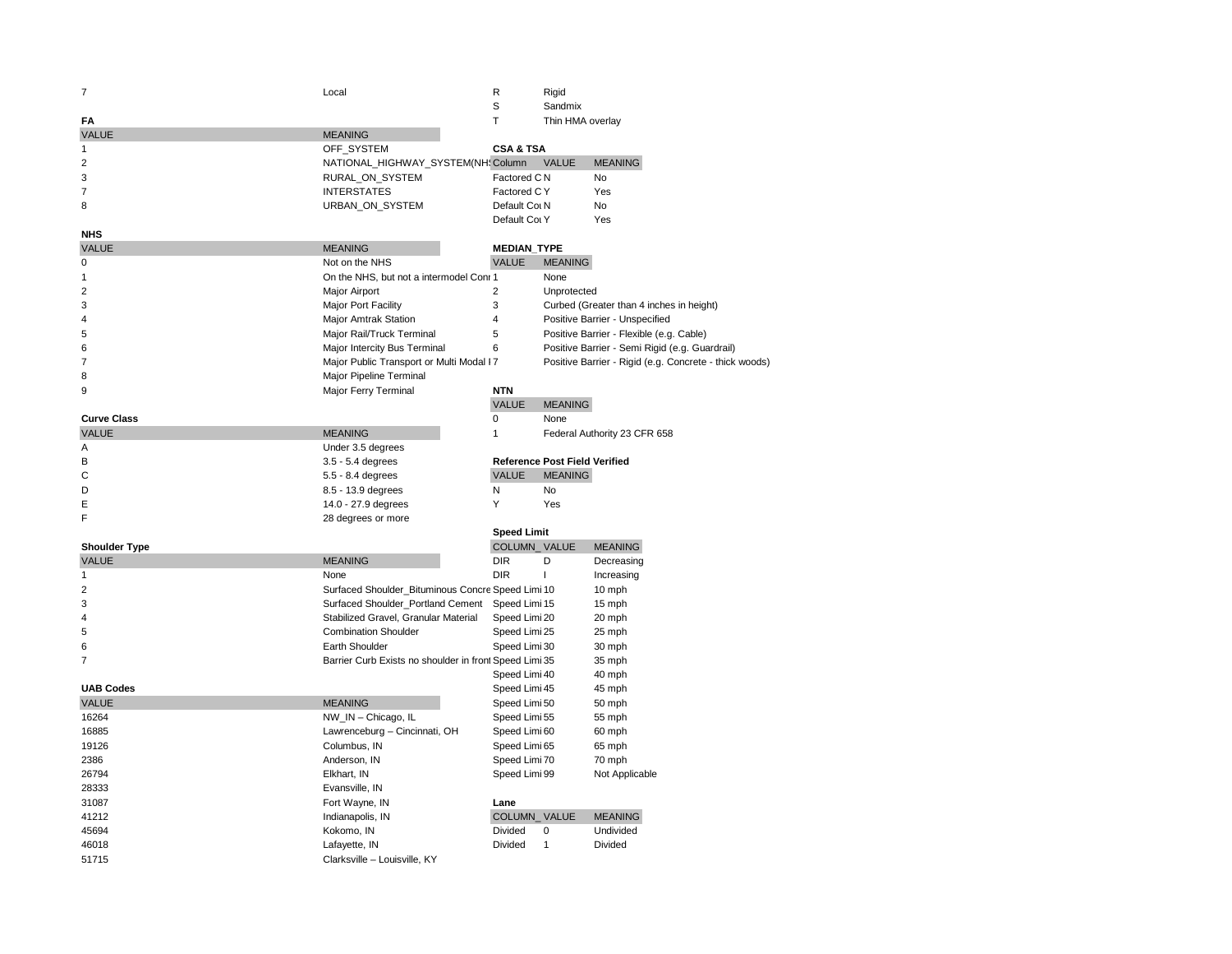| 7                    | Local                                                  | R                    | Rigid                                |                                                        |
|----------------------|--------------------------------------------------------|----------------------|--------------------------------------|--------------------------------------------------------|
|                      |                                                        | S                    | Sandmix                              |                                                        |
| FA                   |                                                        | T.                   | Thin HMA overlay                     |                                                        |
| <b>VALUE</b>         | <b>MEANING</b>                                         |                      |                                      |                                                        |
| 1                    | OFF_SYSTEM                                             | <b>CSA &amp; TSA</b> |                                      |                                                        |
| $\overline{2}$       | NATIONAL_HIGHWAY_SYSTEM(NH: Column                     |                      | <b>VALUE</b>                         | <b>MEANING</b>                                         |
| 3                    | RURAL_ON_SYSTEM                                        | Factored C N         |                                      | <b>No</b>                                              |
| $\overline{7}$       | <b>INTERSTATES</b>                                     | Factored CY          |                                      | Yes                                                    |
| 8                    | URBAN_ON_SYSTEM                                        | Default Col N        |                                      | No                                                     |
|                      |                                                        | Default Col Y        |                                      | Yes                                                    |
| <b>NHS</b>           |                                                        |                      |                                      |                                                        |
| <b>VALUE</b>         | <b>MEANING</b>                                         | <b>MEDIAN_TYPE</b>   |                                      |                                                        |
| $\mathbf 0$          | Not on the NHS                                         | <b>VALUE</b>         | <b>MEANING</b>                       |                                                        |
| $\mathbf{1}$         | On the NHS, but not a intermodel Coni 1                |                      | None                                 |                                                        |
| $\overline{2}$       | <b>Major Airport</b>                                   | $\overline{2}$       | Unprotected                          |                                                        |
| 3                    | Major Port Facility                                    | 3                    |                                      | Curbed (Greater than 4 inches in height)               |
| $\overline{4}$       | Major Amtrak Station                                   | 4                    |                                      | Positive Barrier - Unspecified                         |
| 5                    | Major Rail/Truck Terminal                              | 5                    |                                      | Positive Barrier - Flexible (e.g. Cable)               |
| 6                    | Major Intercity Bus Terminal                           | 6                    |                                      | Positive Barrier - Semi Rigid (e.g. Guardrail)         |
| $\overline{7}$       | Major Public Transport or Multi Modal I7               |                      |                                      | Positive Barrier - Rigid (e.g. Concrete - thick woods) |
| 8                    | Major Pipeline Terminal                                |                      |                                      |                                                        |
| 9                    | Major Ferry Terminal                                   | <b>NTN</b>           |                                      |                                                        |
|                      |                                                        | <b>VALUE</b>         | <b>MEANING</b>                       |                                                        |
| <b>Curve Class</b>   |                                                        | 0                    | None                                 |                                                        |
| <b>VALUE</b>         | <b>MEANING</b>                                         | 1                    |                                      | Federal Authority 23 CFR 658                           |
| A                    | Under 3.5 degrees                                      |                      |                                      |                                                        |
| B                    | 3.5 - 5.4 degrees                                      |                      | <b>Reference Post Field Verified</b> |                                                        |
| C                    | 5.5 - 8.4 degrees                                      | <b>VALUE</b>         | <b>MEANING</b>                       |                                                        |
| D                    | 8.5 - 13.9 degrees                                     | N                    | <b>No</b>                            |                                                        |
| Е                    | 14.0 - 27.9 degrees                                    | Y                    | Yes                                  |                                                        |
| F                    | 28 degrees or more                                     |                      |                                      |                                                        |
|                      |                                                        | <b>Speed Limit</b>   |                                      |                                                        |
| <b>Shoulder Type</b> |                                                        | COLUMN_VALUE         |                                      | <b>MEANING</b>                                         |
| <b>VALUE</b>         | <b>MEANING</b>                                         | <b>DIR</b>           | D                                    | Decreasing                                             |
| 1                    | None                                                   | <b>DIR</b>           | $\mathbf{I}$                         | Increasing                                             |
| $\overline{2}$       | Surfaced Shoulder_Bituminous Concre Speed Limi 10      |                      |                                      | 10 mph                                                 |
| 3                    | Surfaced Shoulder_Portland Cement                      | Speed Limi 15        |                                      | 15 mph                                                 |
| $\overline{4}$       | Stabilized Gravel, Granular Material                   | Speed Limi 20        |                                      | 20 mph                                                 |
| 5                    | <b>Combination Shoulder</b>                            | Speed Limi 25        |                                      | 25 mph                                                 |
| 6                    | <b>Earth Shoulder</b>                                  | Speed Limi 30        |                                      | 30 mph                                                 |
| $\overline{7}$       | Barrier Curb Exists no shoulder in front Speed Limi 35 |                      |                                      | 35 mph                                                 |
|                      |                                                        | Speed Limi 40        |                                      | 40 mph                                                 |
| <b>UAB Codes</b>     |                                                        | Speed Limi 45        |                                      | 45 mph                                                 |
| <b>VALUE</b>         | <b>MEANING</b>                                         | Speed Limi 50        |                                      | 50 mph                                                 |
| 16264                | NW_IN - Chicago, IL                                    | Speed Limi 55        |                                      | 55 mph                                                 |
| 16885                | Lawrenceburg - Cincinnati, OH                          | Speed Limi 60        |                                      | 60 mph                                                 |
| 19126                | Columbus, IN                                           | Speed Limi 65        |                                      | 65 mph                                                 |
| 2386                 | Anderson, IN                                           | Speed Limi 70        |                                      | 70 mph                                                 |
| 26794                | Elkhart, IN                                            | Speed Limi 99        |                                      | Not Applicable                                         |
| 28333                | Evansville, IN                                         |                      |                                      |                                                        |
| 31087                | Fort Wayne, IN                                         | Lane                 |                                      |                                                        |
| 41212                | Indianapolis, IN                                       | COLUMN VALUE         |                                      | <b>MEANING</b>                                         |
| 45694                | Kokomo, IN                                             | <b>Divided</b>       | 0                                    | Undivided                                              |
| 46018                | Lafayette, IN                                          | Divided              | $\mathbf{1}$                         | Divided                                                |
| 51715                | Clarksville - Louisville, KY                           |                      |                                      |                                                        |
|                      |                                                        |                      |                                      |                                                        |